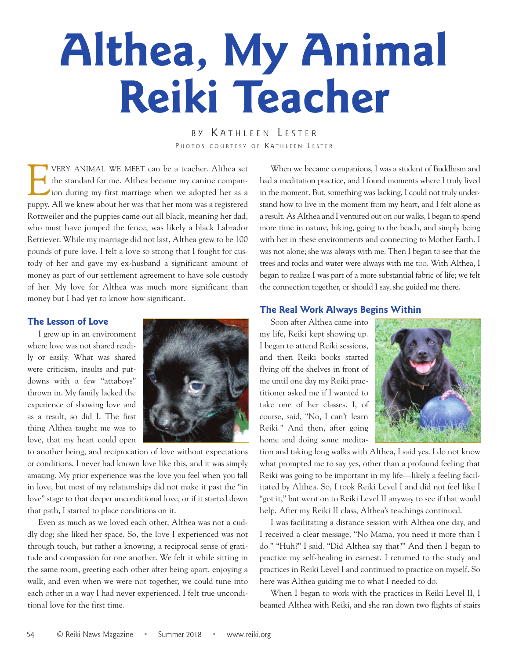# **Althea, My Animal Reiki Teacher**

BY KATHLEEN LESTER PHOTOS COURTESY OF KATHLEEN LESTER

**EVERY ANIMAL WE MEET can be a teacher. Althea set** the standard for me. Althea became my canine companion during my first marriage when we adopted her as a the standard for me. Althea became my canine companion during my first marriage when we adopted her as a puppy. All we knew about her was that her mom was a registered Rottweiler and the puppies came out all black, meaning her dad, who must have jumped the fence, was likely a black Labrador Retriever. While my marriage did not last, Althea grew to be 100 pounds of pure love. I felt a love so strong that I fought for custody of her and gave my ex-husband a significant amount of money as part of our settlement agreement to have sole custody of her. My love for Althea was much more significant than money but I had yet to know how significant.

### **The Lesson of Love**

I grew up in an environment where love was not shared readily or easily. What was shared were criticism, insults and putdowns with a few "attaboys" thrown in. My family lacked the experience of showing love and as a result, so did I. The first thing Althea taught me was to love, that my heart could open



to another being, and reciprocation of love without expectations or conditions. I never had known love like this, and it was simply amazing. My prior experience was the love you feel when you fall in love, but most of my relationships did not make it past the "in love" stage to that deeper unconditional love, or if it started down that path, I started to place conditions on it.

Even as much as we loved each other, Althea was not a cuddly dog; she liked her space. So, the love I experienced was not through touch, but rather a knowing, a reciprocal sense of gratitude and compassion for one another. We felt it while sitting in the same room, greeting each other after being apart, enjoying a walk, and even when we were not together, we could tune into each other in a way I had never experienced. I felt true unconditional love for the first time.

When we became companions, I was a student of Buddhism and had a meditation practice, and I found moments where I truly lived in the moment. But, something was lacking, I could not truly understand how to live in the moment from my heart, and I felt alone as a result. As Althea and I ventured out on our walks, I began to spend more time in nature, hiking, going to the beach, and simply being with her in these environments and connecting to Mother Earth. I was not alone; she was always with me. Then I began to see that the trees and rocks and water were always with me too. With Althea, I began to realize I was part of a more substantial fabric of life; we felt the connection together, or should I say, she guided me there.

## **The Real Work Always Begins Within**

Soon after Althea came into my life, Reiki kept showing up. I began to attend Reiki sessions, and then Reiki books started flying off the shelves in front of me until one day my Reiki practitioner asked me if I wanted to take one of her classes. I, of course, said, "No, I can't learn Reiki." And then, after going home and doing some medita-



tion and taking long walks with Althea, I said yes. I do not know what prompted me to say yes, other than a profound feeling that Reiki was going to be important in my life—likely a feeling facilitated by Althea. So, I took Reiki Level I and did not feel like I "got it," but went on to Reiki Level II anyway to see if that would help. After my Reiki II class, Althea's teachings continued.

I was facilitating a distance session with Althea one day, and I received a clear message, "No Mama, you need it more than I do." "Huh?" I said. "Did Althea say that?" And then I began to practice my self-healing in earnest. I returned to the study and practices in Reiki Level I and continued to practice on myself. So here was Althea guiding me to what I needed to do.

When I began to work with the practices in Reiki Level II, I beamed Althea with Reiki, and she ran down two flights of stairs